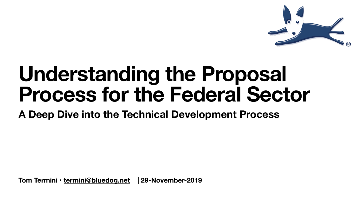**Tom Termini • [termini@bluedog.net](mailto:termini@bluedog.net) | 29-November-2019**



# **Understanding the Proposal Process for the Federal Sector A Deep Dive into the Technical Development Process**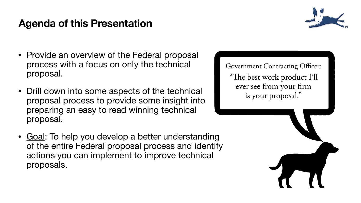# **Agenda of this Presentation**

- Provide an overview of the Federal proposal process with a focus on only the technical proposal.
- Drill down into some aspects of the technical proposal process to provide some insight into preparing an easy to read winning technical proposal.
- Goal: To help you develop a better understanding of the entire Federal proposal process and identify actions you can implement to improve technical proposals.



Government Contracting Officer: "The best work product I'll ever see from your frm is your proposal."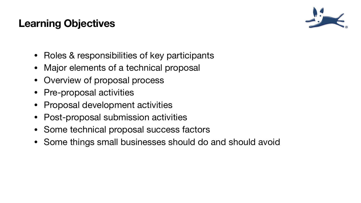# **Learning Objectives**

- Roles & responsibilities of key participants
- Major elements of a technical proposal
- Overview of proposal process
- Pre-proposal activities
- Proposal development activities
- Post-proposal submission activities
- Some technical proposal success factors
- Some things small businesses should do and should avoid



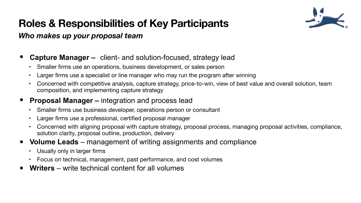### **Roles & Responsibilities of Key Participants** *Who makes up your proposal team*

### **• Capture Manager –** client- and solution-focused, strategy lead

- Smaller firms use an operations, business development, or sales person
- Larger firms use a specialist or line manager who may run the program after winning
- Concerned with competitive analysis, capture strategy, price-to-win, view of best value and overall solution, team composition, and implementing capture strategy

### **• Proposal Manager –** integration and process lead

- Usually only in larger firms
- Focus on technical, management, past performance, and cost volumes
- **• Writers**  write technical content for all volumes



- Smaller firms use business developer, operations person or consultant
- Larger firms use a professional, certified proposal manager
- Concerned with aligning proposal with capture strategy, proposal process, managing proposal activities, compliance, solution clarity, proposal outline, production, delivery

### **• Volume Leads** – management of writing assignments and compliance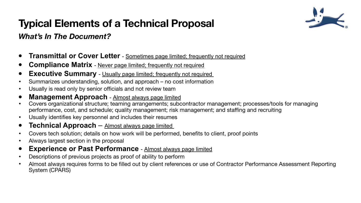### **Typical Elements of a Technical Proposal** *What's In The Document?*

- **• Transmittal or Cover Letter**  Sometimes page limited; frequently not required
- **Compliance Matrix** Never page limited; frequently not required
- **Executive Summary** Usually page limited; frequently not required
- Summarizes understanding, solution, and approach no cost information
- Usually is read only by senior officials and not review team
- **• Management Approach**  Almost always page limited
- Covers organizational structure; teaming arrangements; subcontractor management; processes/tools for managing performance, cost, and schedule; quality management; risk management; and staffing and recruiting
- Usually identifies key personnel and includes their resumes
- **• Technical Approach** Almost always page limited
- Covers tech solution; details on how work will be performed, benefits to client, proof points
- Always largest section in the proposal
- **• Experience or Past Performance**  Almost always page limited
- Descriptions of previous projects as proof of ability to perform
- Almost always requires forms to be filled out by client references or use of Contractor Performance Assessment Reporting System (CPARS)

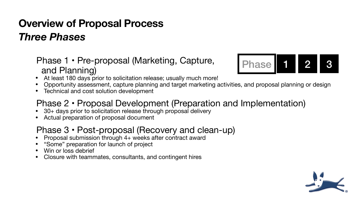# **Overview of Proposal Process** *Three Phases*

### Phase 1 • Pre-proposal (Marketing, Capture, and Planning)

### Phase 2 • Proposal Development (Preparation and Implementation) • 30+ days prior to solicitation release through proposal delivery

- At least 180 days prior to solicitation release; usually much more!
- 
- Technical and cost solution development

• Opportunity assessment, capture planning and target marketing activities, and proposal planning or design



- 
- Actual preparation of proposal document

### Phase 3 • Post-proposal (Recovery and clean-up) • Proposal submission through 4+ weeks after contract award

- 
- "Some" preparation for launch of project
- Win or loss debrief
- Closure with teammates, consultants, and contingent hires

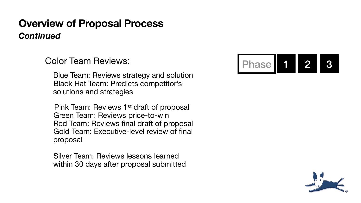## **Overview of Proposal Process** *Continued*

### Color Team Reviews:

Blue Team: Reviews strategy and solution Black Hat Team: Predicts competitor's solutions and strategies

 Pink Team: Reviews 1st draft of proposal Green Team: Reviews price-to-win Red Team: Reviews final draft of proposal Gold Team: Executive-level review of final proposal

 Silver Team: Reviews lessons learned within 30 days after proposal submitted



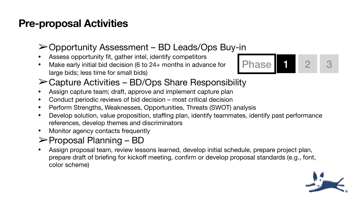# **Pre-proposal Activities**

### ➢Opportunity Assessment – BD Leads/Ops Buy-in

- Assess opportunity fit, gather intel, identify competitors
- Make early initial bid decision (6 to 24+ months in advance for large bids; less time for small bids)

### ➢Capture Activities – BD/Ops Share Responsibility

- Assign capture team; draft, approve and implement capture plan
- Conduct periodic reviews of bid decision most critical decision
- Perform Strengths, Weaknesses, Opportunities, Threats (SWOT) analysis
- Develop solution, value proposition, staffing plan, identify teammates, identify past performance references, develop themes and discriminators
- Monitor agency contacts frequently

### ➢Proposal Planning – BD

• Assign proposal team, review lessons learned, develop initial schedule, prepare project plan, prepare draft of briefing for kickoff meeting, confirm or develop proposal standards (e.g., font,



color scheme)

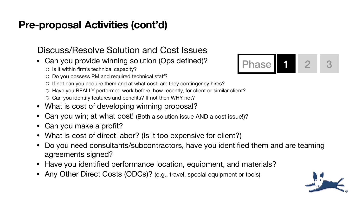### Discuss/Resolve Solution and Cost Issues • Can you provide winning solution (Ops defined)?

- - o Is it within firm's technical capacity?
	- o Do you possess PM and required technical staff?
	- o If not can you acquire them and at what cost; are they contingency hires?
	- o Have you REALLY performed work before, how recently, for client or similar client?
	- o Can you identify features and benefits? If not then WHY not?
- What is cost of developing winning proposal?
- Can you win; at what cost! (Both a solution issue AND a cost issue!)?
- Can you make a profit?
- What is cost of direct labor? (Is it too expensive for client?)
- Do you need consultants/subcontractors, have you identified them and are teaming agreements signed?
- Have you identified performance location, equipment, and materials?
- Any Other Direct Costs (ODCs)? (e.g., travel, special equipment or tools)



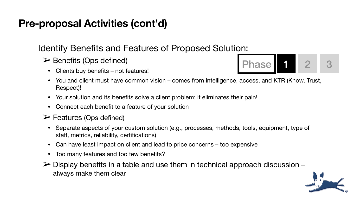### Identify Benefits and Features of Proposed Solution:

### ➢Benefits (Ops defined)

- Clients buy benefits not features!
- You and client must have common vision comes from intelligence, access, and KTR (Know, Trust, Respect)!
- Your solution and its benefits solve a client problem; it eliminates their pain! Connect each benefit to a feature of your solution
- 
- $\triangleright$  Features (Ops defined)
	- Separate aspects of your custom solution (e.g., processes, methods, tools, equipment, type of staff, metrics, reliability, certifications)
	- Can have least impact on client and lead to price concerns too expensive
	- Too many features and too few benefits?
- $\triangleright$  Display benefits in a table and use them in technical approach discussion always make them clear



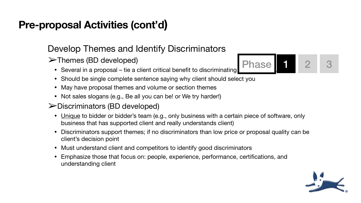### Develop Themes and Identify Discriminators ➢Themes (BD developed)

- Several in a proposal tie a client critical benefit to discriminating
- Should be single complete sentence saying why client should select you
- May have proposal themes and volume or section themes
- Not sales slogans (e.g., Be all you can be! or We try harder!)

### ➢Discriminators (BD developed)

- <u>Unique</u> to bidder or bidder's team (e.g., only business with a certain piece of software, only business that has supported client and really understands client)
- Discriminators support themes; if no discriminators than low price or proposal quality can be client's decision point
- Must understand client and competitors to identify good discriminators • Emphasize those that focus on: people, experience, performance, certifications, and
- understanding client





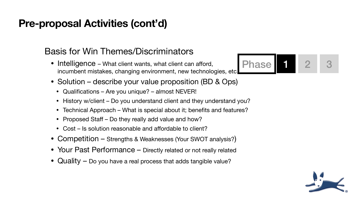### Basis for Win Themes/Discriminators

- Intelligence What client wants, what client can afford, incumbent mistakes, changing environment, new technologies, etc.
- Solution describe your value proposition (BD & Ops)
	- Qualifications Are you unique? almost NEVER!
	- History w/client Do you understand client and they understand you?
	- Technical Approach What is special about it; benefits and features?
	- Proposed Staff Do they really add value and how?
	- Cost Is solution reasonable and affordable to client?
- Competition Strengths & Weaknesses (Your SWOT analysis?)
- Your Past Performance Directly related or not really related
- $\alpha$  Quality  $-$  Do you have a real process that adds tangible value?



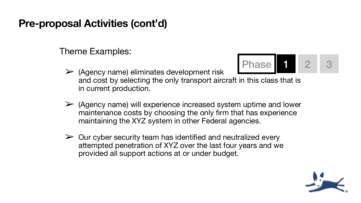### Theme Examples:

and cost by selecting the only transport aircraft in this class that is

 $\triangleright$  (Agency name) will experience increased system uptime and lower maintenance costs by choosing the only firm that has experience maintaining the XYZ system in other Federal agencies.

 $\triangleright$  Our cyber security team has identified and neutralized every attempted penetration of XYZ over the last four years and we



- ➢ (Agency name) eliminates development risk in current production.
- 
- provided all support actions at or under budget.

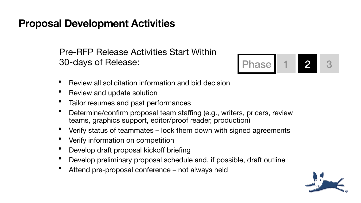## **Proposal Development Activities**

Pre-RFP Release Activities Start Within 30-days of Release:

- Review all solicitation information and bid decision
- Review and update solution
- Tailor resumes and past performances
- Determine/confirm proposal team staffing (e.g., writers, pricers, review teams, graphics support, editor/proof reader, production)
- Verify status of teammates lock them down with signed agreements
- Verify information on competition
- Develop draft proposal kickoff briefing
- Develop preliminary proposal schedule and, if possible, draft outline
- Attend pre-proposal conference not always held



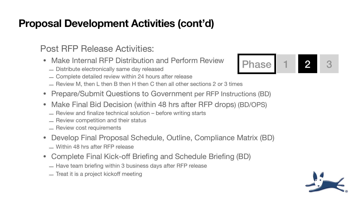- Make Internal RFP Distribution and Perform Review
	- ̶Distribute electronically same day released
	- ̶Complete detailed review within 24 hours after release
	- $-$  Review M, then L then B then H then C then all other sections 2 or 3 times
- Prepare/Submit Questions to Government per RFP Instructions (BD)
- Make Final Bid Decision (within 48 hrs after RFP drops) (BD/OPS)
	- ̶Review and finalize technical solution before writing starts
	- ̶Review competition and their status
	- $-$  Review cost requirements
- Develop Final Proposal Schedule, Outline, Compliance Matrix (BD) ̶Within 48 hrs after RFP release
- Complete Final Kick-off Briefing and Schedule Briefing (BD)
	- $-$  Have team briefing within 3 business days after RFP release
	- $-$  Treat it is a project kickoff meeting

Phase | 1 | 2 | 3



### Post RFP Release Activities: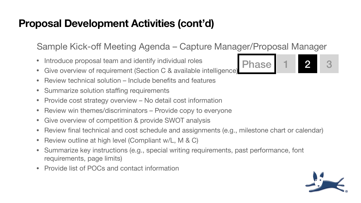Sample Kick-off Meeting Agenda – Capture Manager/Proposal Manager

Phase 1 2 3



- Introduce proposal team and identify individual roles
- Give overview of requirement (Section C & available intelligence)
- Review technical solution Include benefits and features
- Summarize solution staffing requirements
- Provide cost strategy overview No detail cost information
- Review win themes/discriminators Provide copy to everyone
- Give overview of competition & provide SWOT analysis
- Review final technical and cost schedule and assignments (e.g., milestone chart or calendar)
- Review outline at high level (Compliant w/L, M & C)
- Summarize key instructions (e.g., special writing requirements, past performance, font requirements, page limits)
- Provide list of POCs and contact information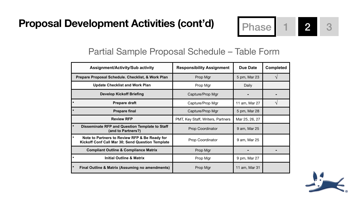| <b>Assignment/Activity/Sub activity</b>                                                           | <b>Responsibility Assignment</b>  | <b>Due Date</b> | <b>Completed</b> |
|---------------------------------------------------------------------------------------------------|-----------------------------------|-----------------|------------------|
| <b>Prepare Proposal Schedule. Checklist, &amp; Work Plan</b>                                      | Prop Mgr                          | 5 pm, Mar 23    |                  |
| <b>Update Checklist and Work Plan</b>                                                             | Prop Mgr                          | Daily           |                  |
| <b>Develop Kickoff Briefing</b>                                                                   | Capture/Prop Mgr                  | $\blacksquare$  |                  |
| <b>Prepare draft</b>                                                                              | Capture/Prop Mgr                  | 11 am, Mar 27   |                  |
| <b>Prepare final</b>                                                                              | Capture/Prop Mgr                  | 5 pm, Mar 28    |                  |
| <b>Review RFP</b>                                                                                 | PMT, Key Staff, Writers, Partners | Mar 25, 26, 27  |                  |
| <b>Disseminate RFP and Question Template to Staff</b><br>(and to Partners?)                       | <b>Prop Coordinator</b>           | 9 am, Mar 25    |                  |
| Note to Partners to Review RFP & Be Ready for<br>Kickoff Conf Call Mar 30; Send Question Template | <b>Prop Coordinator</b>           | 9 am, Mar 25    |                  |
| <b>Compliant Outline &amp; Compliance Matrix</b>                                                  | Prop Mgr                          |                 |                  |
| <b>Initial Outline &amp; Matrix</b>                                                               | Prop Mgr                          | 9 pm, Mar 27    |                  |
| <b>Final Outline &amp; Matrix (Assuming no amendments)</b>                                        | Prop Mgr                          | 11 am, Mar 31   |                  |

### Partial Sample Proposal Schedule – Table Form



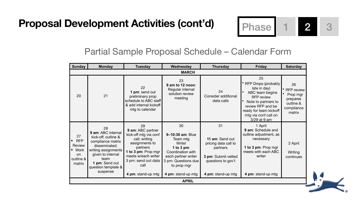### Partial Sample Proposal Schedule – Calendar Form

| <b>Sunday</b>                                                                   | <b>Monday</b>                                                                                                                                                                                  | <b>Tuesday</b>                                                                                                                                                                                     | Wednesday                                                                                                                                                                 | <b>Thursday</b>                                                                                                              | <b>Friday</b>                                                                                                                                                                                          | <b>Saturday</b>                                                                      |  |  |
|---------------------------------------------------------------------------------|------------------------------------------------------------------------------------------------------------------------------------------------------------------------------------------------|----------------------------------------------------------------------------------------------------------------------------------------------------------------------------------------------------|---------------------------------------------------------------------------------------------------------------------------------------------------------------------------|------------------------------------------------------------------------------------------------------------------------------|--------------------------------------------------------------------------------------------------------------------------------------------------------------------------------------------------------|--------------------------------------------------------------------------------------|--|--|
| <b>MARCH</b>                                                                    |                                                                                                                                                                                                |                                                                                                                                                                                                    |                                                                                                                                                                           |                                                                                                                              |                                                                                                                                                                                                        |                                                                                      |  |  |
| 20                                                                              | 21                                                                                                                                                                                             | 22<br>1 pm: send out<br>preliminary prop<br>schedule to ABC staff<br>& add internal kickoff<br>mtg to calendar                                                                                     | 23<br>9 am to 12 noon:<br>Regular internal<br>solution review<br>meeting                                                                                                  | 24<br><b>Consider additional</b><br>data calls                                                                               | 25<br><b>RFP Drops (probably</b><br>late in day)<br>ABC team begins<br><b>RFP</b> review<br>Note to partners to<br>review RFP and be<br>ready for team kickoff<br>mtg via conf call on<br>3/29 at 9 am | 26<br><b>RFP review</b><br>Prop mgr<br>prepares<br>outline &<br>compliance<br>matrix |  |  |
| 27<br><b>RFP</b><br><b>Review</b><br><b>•</b> Work<br>on<br>outline &<br>matrix | 28<br>9 am: ABC internal<br>kick-off; outline &<br>compliance matrix<br>disseminated;<br>writing assignments<br>given to internal<br>team<br>I pm: Send out<br>question template &<br>suspense | 29<br>9 am: ABC partner<br>kick-off mtg via conf<br>call; writing<br>assignments to<br>partners<br>1 to 3 pm: Prop mgr<br>meets w/each writer<br>3 pm: send out data<br>call<br>4 pm: stand-up mtg | 30<br>9-10:30 am: Blue<br>Team mtg<br>Write!<br>1 to 3 pm:<br><b>Coordination with</b><br>each partner writer<br>3 pm: Questions due<br>to prop mgr<br>4 pm: stand-up mtg | 31<br>11 am: Send out<br>pricing data call to<br>partners<br>3 pm: Submit vetted<br>questions to gov't<br>4 pm: stand-up mtg | 1 April<br>9 am: Schedule and<br>outline adjustment, as<br>necessary<br>1 to 3 pm: Prop mgr<br>meets with each ABC<br>writer<br>4 pm: stand-up mtg                                                     | 2 April<br>Writing<br>continues                                                      |  |  |
| <b>APRIL</b>                                                                    |                                                                                                                                                                                                |                                                                                                                                                                                                    |                                                                                                                                                                           |                                                                                                                              |                                                                                                                                                                                                        |                                                                                      |  |  |



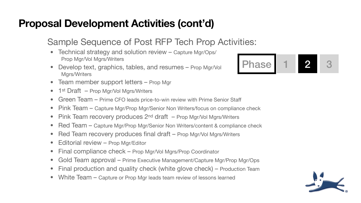### Sample Sequence of Post RFP Tech Prop Activities:

- Technical strategy and solution review Capture Mgr/Ops/ Prop Mgr/Vol Mgrs/Writers
- Develop text, graphics, tables, and resumes Prop Mgr/Vol Mgrs/Writers
- Team member support letters Prop Mgr
- 1<sup>st</sup> Draft Prop Mgr/Vol Mgrs/Writers
- Green Team Prime CFO leads price-to-win review with Prime Senior Staff
- Pink Team Capture Mgr/Prop Mgr/Senior Non Writers/focus on compliance check
- Pink Team recovery produces  $2^{nd}$  draft Prop Mgr/Vol Mgrs/Writers
- Red Team Capture Mgr/Prop Mgr/Senior Non Writers/content & compliance check
- Red Team recovery produces final draft Prop Mgr/Vol Mgrs/Writers
- Editorial review Prop Mgr/Editor
- Final compliance check Prop Mgr/Vol Mgrs/Prop Coordinator
- Gold Team approval Prime Executive Management/Capture Mgr/Prop Mgr/Ops
- Final production and quality check (white glove check) Production Team
- White Team Capture or Prop Mgr leads team review of lessons learned



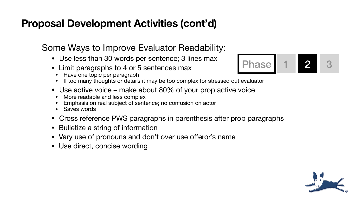- Use less than 30 words per sentence; 3 lines max
- Limit paragraphs to 4 or 5 sentences max
	- Have one topic per paragraph
	- If too many thoughts or details it may be too complex for stressed out evaluator
- Use active voice make about 80% of your prop active voice
	- More readable and less complex
	- Emphasis on real subject of sentence; no confusion on actor
	- Saves words
- Cross reference PWS paragraphs in parenthesis after prop paragraphs
- Bulletize a string of information
- Vary use of pronouns and don't over use offeror's name
- Use direct, concise wording

### Some Ways to Improve Evaluator Readability:



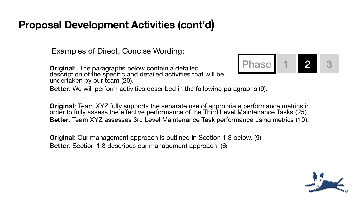**Original**:The paragraphs below contain a detailed description of the specific and detailed activities that will be undertaken by our team (20). **Better**: We will perform activities described in the following paragraphs (9). Phase 1 2 3

Examples of Direct, Concise Wording:

**Original**: Team XYZ fully supports the separate use of appropriate performance metrics in order to fully assess the effective performance of the Third Level Maintenance Tasks (25). **Better**: Team XYZ assesses 3rd Level Maintenance Task performance using metrics (10).

**Original**: Our management approach is outlined in Section 1.3 below. (9) **Better**: Section 1.3 describes our management approach. (6)

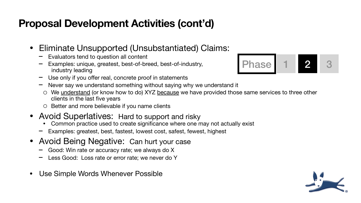- Eliminate Unsupported (Unsubstantiated) Claims:
	- − Evaluators tend to question all content
	- Examples: unique, greatest, best-of-breed, best-of-industry, industry leading
	- Use only if you offer real, concrete proof in statements
	- Never say we understand something without saying why we understand it
	- We understand (or know how to do) XYZ because we have provided those same services to three other clients in the last five years
	- o Better and more believable if you name clients
- Avoid Superlatives: Hard to support and risky • Common practice used to create significance where one may not actually exist
	-
	- − Examples: greatest, best, fastest, lowest cost, safest, fewest, highest
- Avoid Being Negative: Can hurt your case
	- − Good: Win rate or accuracy rate; we always do X
	- Less Good: Loss rate or error rate; we never do Y
- Use Simple Words Whenever Possible



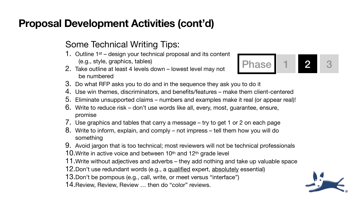### Some Technical Writing Tips:

4. Use win themes, discriminators, and benefits/features – make them client-centered 5. Eliminate unsupported claims – numbers and examples make it real (or appear real)! 6. Write to reduce risk – don't use words like all, every, most, guarantee, ensure,

- 1. Outline 1<sup>st</sup> design your technical proposal and its content (e.g., style, graphics, tables)
- 2. Take outline at least 4 levels down lowest level may not be numbered
- 3. Do what RFP asks you to do and in the sequence they ask you to do it
- 
- 
- promise
- 
- something
- 
- 10. Write in active voice and between 10<sup>th</sup> and 12<sup>th</sup> grade level
- 
- 12.Don't use redundant words (e.g., a <u>qualified</u> expert, <u>absolutely</u> essential)
- 13.Don't be pompous (e.g., call, write, or meet versus "interface")
- 14.Review, Review, Review … then do "color" reviews.

# Phase 1 2 3

7. Use graphics and tables that carry a message – try to get 1 or 2 on each page 8. Write to inform, explain, and comply – not impress – tell them how you will do

9. Avoid jargon that is too technical; most reviewers will not be technical professionals 11.Write without adjectives and adverbs – they add nothing and take up valuable space

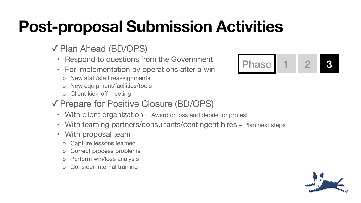# **Post-proposal Submission Activities**

# ✓ Plan Ahead (BD/OPS)

- Respond to questions from the Government
- For implementation by operations after a win
	- o New staff/staff reassignments
	- New equipment/facilities/tools
	- o Client kick-off meeting

# ✓ Prepare for Positive Closure (BD/OPS)

- With client organization Award or loss and debrief or protest
- 
- With proposal team
	- o Capture lessons learned
	- o Correct process problems
	- o Perform win/loss analysis
	- o Consider internal training



With teaming partners/consultants/contingent hires - Plan next steps

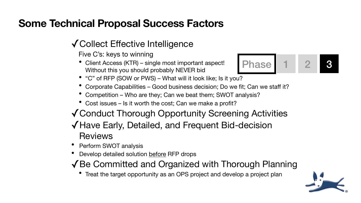# **Some Technical Proposal Success Factors**

# ✓Collect Effective Intelligence

Five C's: keys to winning

- Client Access (KTR) single most important aspect! Without this you should probably NEVER bid
- "C" of RFP (SOW or PWS) What will it look like; Is it you?
- Corporate Capabilities Good business decision; Do we fit; Can we staff it?
- Competition Who are they; Can we beat them; SWOT analysis?
- Cost issues Is it worth the cost; Can we make a profit?
- 
- ✓Conduct Thorough Opportunity Screening Activities ✓Have Early, Detailed, and Frequent Bid-decision Reviews
- Perform SWOT analysis
- Develop detailed solution before RFP drops

• Treat the target opportunity as an OPS project and develop a project plan

Phase 1 2 3

✓Be Committed and Organized with Thorough Planning

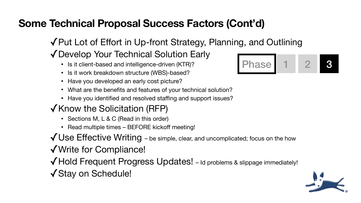# **Some Technical Proposal Success Factors (Cont'd)**

✓Put Lot of Effort in Up-front Strategy, Planning, and Outlining

# ✓Develop Your Technical Solution Early

- Is it client-based and intelligence-driven (KTR)?
- Is it work breakdown structure (WBS)-based?
- Have you developed an early cost picture?
- What are the benefits and features of your technical solution?
- Have you identified and resolved staffing and support issues?

- Sections M, L & C (Read in this order)
- Read multiple times BEFORE kickoff meeting!
- ✓Use Effective Writing be simple, clear, and uncomplicated; focus on the how
- ✓Write for Compliance!
- ✓Stay on Schedule!

### ✓Know the Solicitation (RFP)

✓Hold Frequent Progress Updates! – Id problems & slippage immediately!



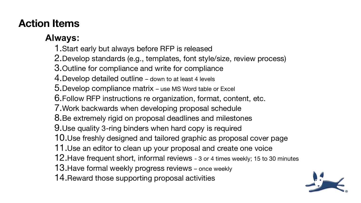# **Action Items**

### **Always:**

- 
- 2.Develop standards (e.g., templates, font style/size, review process)
	-
	-
	-
	-
	-
	-
	-
- 10.Use freshly designed and tailored graphic as proposal cover page
	-
- 12.Have frequent short, informal reviews 3 or 4 times weekly; 15 to 30 minutes
	-
	-



1.Start early but always before RFP is released 3.Outline for compliance and write for compliance 4.Develop detailed outline – down to at least 4 levels 5.Develop compliance matrix – use MS Word table or Excel 6.Follow RFP instructions re organization, format, content, etc. 7.Work backwards when developing proposal schedule 8.Be extremely rigid on proposal deadlines and milestones 9.Use quality 3-ring binders when hard copy is required 11.Use an editor to clean up your proposal and create one voice 13.Have formal weekly progress reviews – once weekly 14.Reward those supporting proposal activities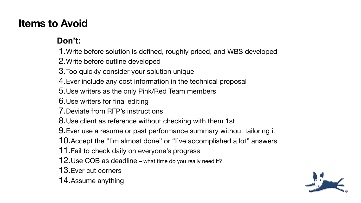# **Items to Avoid**

### **Don't:**

1.Write before solution is defined, roughly priced, and WBS developed 2.Write before outline developed 3.Too quickly consider your solution unique 4.Ever include any cost information in the technical proposal 5.Use writers as the only Pink/Red Team members 6.Use writers for final editing 7.Deviate from RFP's instructions 8.Use client as reference without checking with them 1st 9.Ever use a resume or past performance summary without tailoring it 10.Accept the "I'm almost done" or "I've accomplished a lot" answers 11.Fail to check daily on everyone's progress 12.Use COB as deadline – what time do you really need it? 13.Ever cut corners 14.Assume anything

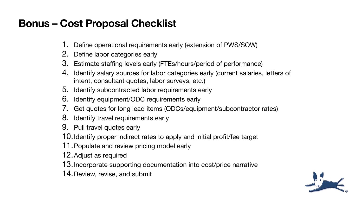# **Bonus – Cost Proposal Checklist**

- 1. Define operational requirements early (extension of PWS/SOW)
- 2. Define labor categories early
- 3. Estimate staffing levels early (FTEs/hours/period of performance)
- 4. Identify salary sources for labor categories early (current salaries, letters of intent, consultant quotes, labor surveys, etc.)
- 5. Identify subcontracted labor requirements early
- 6. Identify equipment/ODC requirements early
- 7. Get quotes for long lead items (ODCs/equipment/subcontractor rates)
- 8. Identify travel requirements early
- 9. Pull travel quotes early

10.Identify proper indirect rates to apply and initial profit/fee target 11.Populate and review pricing model early

- 
- 12.Adjust as required
- 13.Incorporate supporting documentation into cost/price narrative
- 14.Review, revise, and submit